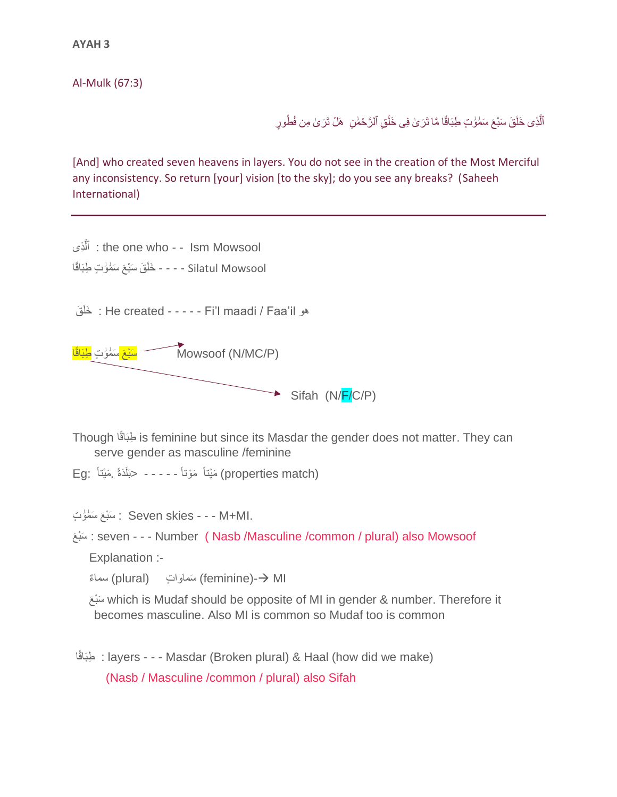**AYAH 3**

Al-Mulk (67:3)

ٱلَّذِى خَلَقَ سَبْعَ سَمُوَٰتٍ طِبَاقًا مَّا تَرَىٰ فِى خَلْقِ ٱلرَّحْمَٰنِ ۚ هَلْ تَرَىٰ مِن فُطُورٍ ْ

[And] who created seven heavens in layers. You do not see in the creation of the Most Merciful any inconsistency. So return [your] vision [to the sky]; do you see any breaks? (Saheeh International)

ِذى ٱل : the one who - - Ism Mowsool َّ Silatul Mowsool - - - - خَلَقَ سَبْعَ سَمُوُتٍ طِبَاقًا

هو He created - - - - - Fi'l maadi / Faa'il : خَلَقَ



ا Though ًاقَطبِ is feminine but since its Masdar the gender does not matter. They can serve gender as masculine /feminine

Eg: مَيْتَاً مَوْتاً - - - - حبَلَاَةً مَيْتاً Eg: مَيْتاً

َع َو َٰ ت َسْب َٰمَ سَ : Seven skies - - - M+MI.

َع بْسَ : seven - - - Number ( Nasb /Masculine /common / plural) also Mowsoof

Explanation :-

اسماءٌ (plural) سَماواتٍ (plural) سماءٌ

َع بْسَ which is Mudaf should be opposite of MI in gender & number. Therefore it becomes masculine. Also MI is common so Mudaf too is common

ا ًاقَطبِ : layers - - - Masdar (Broken plural) & Haal (how did we make) (Nasb / Masculine /common / plural) also Sifah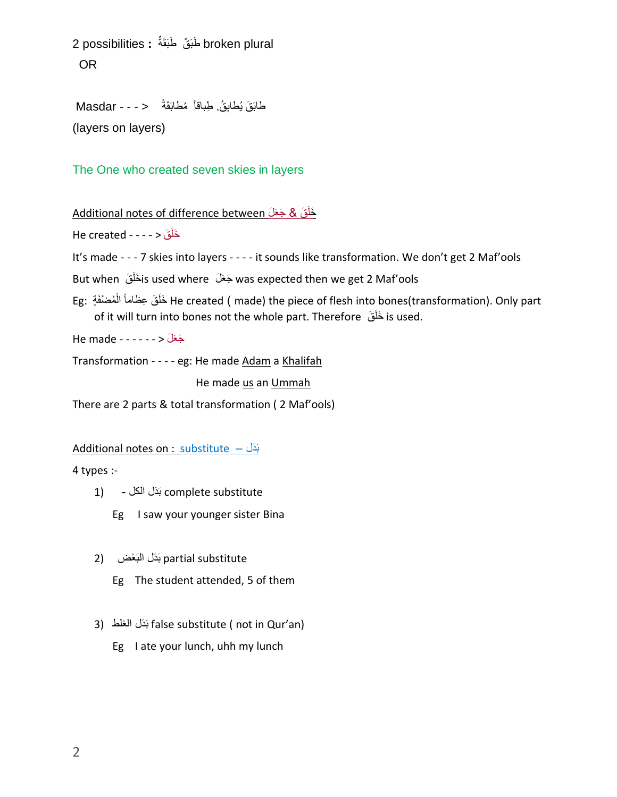broken plural طَبَقٌ طَبَقَةٌ : 2 possibilities OR

```
طَابَقَ يُطابِقُ. طِباقاً مُطابَقَةً    < - - - Masdar
(layers on layers)
```
The One who created seven skies in layers

خَلَقَ & جَعَلَ Additional notes of difference between

He created - - - - > قَ َخلَ

It's made - - - 7 skies into layers - - - - it sounds like transformation. We don't get 2 Maf'ools

But when قَاخَلَقَ is used where جَعَلَمَ was expected then we get 2 Maf'ools

َق ِعظاماً :Eg ُم َخل ْضفَ ة َ ال He created ) made) the piece of flesh into bones(transformation). Only part ْ of it will turn into bones not the whole part. Therefore قَ َخلَ is used.

 $He$  made - - - - - - > جَعَلَ

Transformation - - - - eg: He made Adam a Khalifah

He made us an Ummah

There are 2 parts & total transformation ( 2 Maf'ools)

Additional notes on : substitute – بَدَل

4 types :-

- substitute complete بَ َدل الكل (1
	- Eg I saw your younger sister Bina
- 2) بَدَلْ الْبَعْض (2
	- Eg The student attended, 5 of them
- 3) بَذَلِ الغلط false substitute ( not in Qur'an)
	- Eg I ate your lunch, uhh my lunch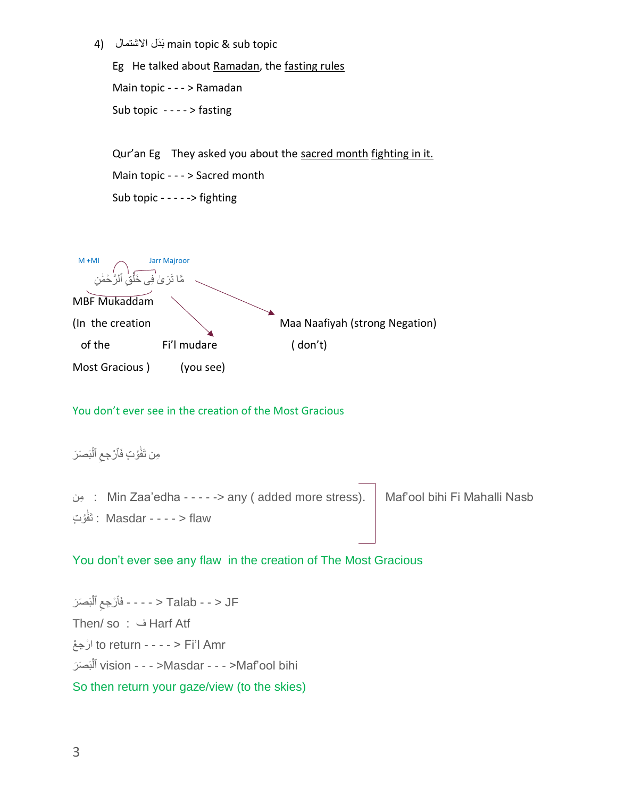4) ابَدَلْ الاَشتمال دلَب main topic & sub topic

Eg He talked about Ramadan, the fasting rules Main topic - - - > Ramadan Sub topic - - - - > fasting

Qur'an Eg They asked you about the sacred month fighting in it. Main topic - - - > Sacred month Sub topic - - - - -> fighting

 M +MI Jarr Majroor َر َٰى مَّا تَرَىٰ فِى خَلْقِ ْ خَلْقِ ٱلرَّحْمَٰنِ مَّا تَرَىٰ فِي خَلْقِ ٱلرَّحْمَٰ MBF Mukaddam (In the creation  $\setminus$  Maa Naafiyah (strong Negation) of the Fi'l mudare ( don't) Most Gracious ) (you see)

You don't ever see in the creation of the Most Gracious

## مِن تَفَوُتٍ فَأَرْجِعِ ٱلْبَصَرَ ا<br>ا ِ ْ

مِنِ : Min Zaa'edha - - - - -> any ( added more stress).  $\parallel$  Maf'ool bihi Fi Mahalli Nasb ا : تَفَوُتِ : Masdar - - - - > flaw َٰ

## You don't ever see any flaw in the creation of The Most Gracious

ِ بَ َص َر فَٱ ْر ِجع ٱل - - - - < Talab - - > JF ْ Then/ so : ف Harf Atf ارْجِعْ to return - - - - > Fi'l Amr بَ َص َر ٱل vision - - - >Masdar - - - >Maf'oolَbihi ْ So then return your gaze/view (to the skies)